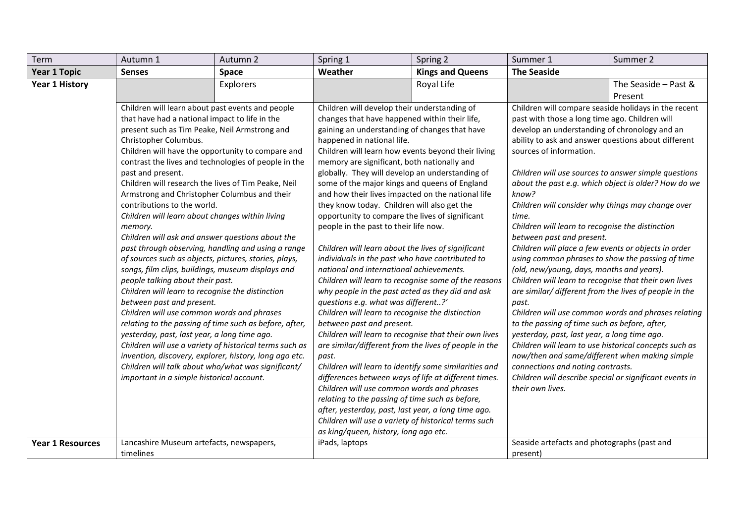| Term                    | Autumn 1                                                                                                                                                                      | Autumn 2  | Spring 1                                                                                                       | Spring 2                                                                                    | Summer 1                                                                                                                                               | Summer 2                                             |  |
|-------------------------|-------------------------------------------------------------------------------------------------------------------------------------------------------------------------------|-----------|----------------------------------------------------------------------------------------------------------------|---------------------------------------------------------------------------------------------|--------------------------------------------------------------------------------------------------------------------------------------------------------|------------------------------------------------------|--|
| Year 1 Topic            | <b>Senses</b>                                                                                                                                                                 | Space     | Weather                                                                                                        | <b>Kings and Queens</b>                                                                     | <b>The Seaside</b>                                                                                                                                     |                                                      |  |
| <b>Year 1 History</b>   |                                                                                                                                                                               | Explorers |                                                                                                                | Royal Life                                                                                  |                                                                                                                                                        | The Seaside - Past &                                 |  |
|                         |                                                                                                                                                                               |           |                                                                                                                |                                                                                             |                                                                                                                                                        | Present                                              |  |
|                         | Children will learn about past events and people                                                                                                                              |           |                                                                                                                | Children will develop their understanding of                                                | Children will compare seaside holidays in the recent                                                                                                   |                                                      |  |
|                         | that have had a national impact to life in the<br>present such as Tim Peake, Neil Armstrong and<br>Christopher Columbus.<br>Children will have the opportunity to compare and |           | changes that have happened within their life,                                                                  |                                                                                             | past with those a long time ago. Children will                                                                                                         |                                                      |  |
|                         |                                                                                                                                                                               |           | gaining an understanding of changes that have<br>happened in national life.                                    |                                                                                             | develop an understanding of chronology and an<br>ability to ask and answer questions about different                                                   |                                                      |  |
|                         |                                                                                                                                                                               |           |                                                                                                                |                                                                                             |                                                                                                                                                        |                                                      |  |
|                         |                                                                                                                                                                               |           | Children will learn how events beyond their living                                                             |                                                                                             | sources of information.                                                                                                                                |                                                      |  |
|                         | contrast the lives and technologies of people in the                                                                                                                          |           | memory are significant, both nationally and                                                                    |                                                                                             |                                                                                                                                                        |                                                      |  |
|                         | past and present.                                                                                                                                                             |           | globally. They will develop an understanding of                                                                |                                                                                             | Children will use sources to answer simple questions                                                                                                   |                                                      |  |
|                         | Children will research the lives of Tim Peake, Neil                                                                                                                           |           | some of the major kings and queens of England                                                                  |                                                                                             | about the past e.g. which object is older? How do we<br>know?                                                                                          |                                                      |  |
|                         | Armstrong and Christopher Columbus and their<br>and how their lives impacted on the national life                                                                             |           |                                                                                                                |                                                                                             |                                                                                                                                                        |                                                      |  |
|                         | contributions to the world.<br>Children will learn about changes within living                                                                                                |           | they know today. Children will also get the<br>opportunity to compare the lives of significant                 |                                                                                             | Children will consider why things may change over<br>time.                                                                                             |                                                      |  |
|                         | memory.<br>Children will ask and answer questions about the<br>past through observing, handling and using a range                                                             |           |                                                                                                                |                                                                                             | Children will learn to recognise the distinction                                                                                                       |                                                      |  |
|                         |                                                                                                                                                                               |           |                                                                                                                | people in the past to their life now.<br>Children will learn about the lives of significant |                                                                                                                                                        | between past and present.                            |  |
|                         |                                                                                                                                                                               |           |                                                                                                                |                                                                                             |                                                                                                                                                        | Children will place a few events or objects in order |  |
|                         | of sources such as objects, pictures, stories, plays,                                                                                                                         |           | individuals in the past who have contributed to                                                                |                                                                                             | using common phrases to show the passing of time<br>(old, new/young, days, months and years).<br>Children will learn to recognise that their own lives |                                                      |  |
|                         | songs, film clips, buildings, museum displays and                                                                                                                             |           | national and international achievements.                                                                       |                                                                                             |                                                                                                                                                        |                                                      |  |
|                         | people talking about their past.                                                                                                                                              |           | Children will learn to recognise some of the reasons                                                           |                                                                                             |                                                                                                                                                        |                                                      |  |
|                         | Children will learn to recognise the distinction                                                                                                                              |           | why people in the past acted as they did and ask                                                               |                                                                                             | are similar/ different from the lives of people in the                                                                                                 |                                                      |  |
|                         | between past and present.                                                                                                                                                     |           | questions e.g. what was different?'                                                                            |                                                                                             | past.                                                                                                                                                  |                                                      |  |
|                         | Children will use common words and phrases                                                                                                                                    |           |                                                                                                                | Children will learn to recognise the distinction                                            |                                                                                                                                                        | Children will use common words and phrases relating  |  |
|                         | relating to the passing of time such as before, after,                                                                                                                        |           | between past and present.                                                                                      |                                                                                             | to the passing of time such as before, after,                                                                                                          |                                                      |  |
|                         | yesterday, past, last year, a long time ago.                                                                                                                                  |           | Children will learn to recognise that their own lives<br>are similar/different from the lives of people in the |                                                                                             | yesterday, past, last year, a long time ago.<br>Children will learn to use historical concepts such as                                                 |                                                      |  |
|                         | Children will use a variety of historical terms such as                                                                                                                       |           |                                                                                                                |                                                                                             |                                                                                                                                                        |                                                      |  |
|                         | invention, discovery, explorer, history, long ago etc.                                                                                                                        |           | past.                                                                                                          |                                                                                             | now/then and same/different when making simple                                                                                                         |                                                      |  |
|                         | Children will talk about who/what was significant/                                                                                                                            |           | Children will learn to identify some similarities and                                                          |                                                                                             | connections and noting contrasts.                                                                                                                      |                                                      |  |
|                         | important in a simple historical account.                                                                                                                                     |           | differences between ways of life at different times.<br>Children will use common words and phrases             |                                                                                             | Children will describe special or significant events in<br>their own lives.                                                                            |                                                      |  |
|                         |                                                                                                                                                                               |           | relating to the passing of time such as before,                                                                |                                                                                             |                                                                                                                                                        |                                                      |  |
|                         |                                                                                                                                                                               |           | after, yesterday, past, last year, a long time ago.                                                            |                                                                                             |                                                                                                                                                        |                                                      |  |
|                         |                                                                                                                                                                               |           | Children will use a variety of historical terms such                                                           |                                                                                             |                                                                                                                                                        |                                                      |  |
|                         | as king/queen, history, long ago etc.                                                                                                                                         |           |                                                                                                                |                                                                                             |                                                                                                                                                        |                                                      |  |
| <b>Year 1 Resources</b> | Lancashire Museum artefacts, newspapers,                                                                                                                                      |           | iPads, laptops                                                                                                 |                                                                                             | Seaside artefacts and photographs (past and                                                                                                            |                                                      |  |
|                         | timelines                                                                                                                                                                     |           |                                                                                                                |                                                                                             | present)                                                                                                                                               |                                                      |  |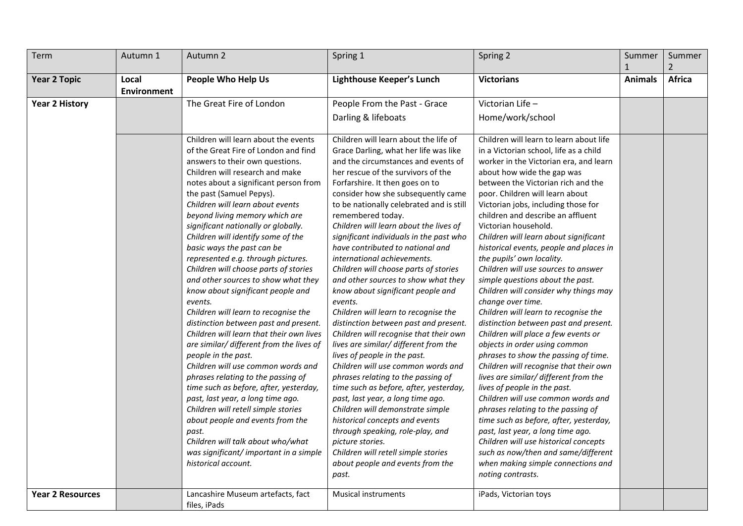| Term                    | Autumn 1                    | Autumn 2                                                                                                                                                                                                                                                                                                                                                                                                                                                                                                                                                                                                                                                                                                                                                                                                                                                                                                                                                                                                                                                                                                                            | Spring 1                                                                                                                                                                                                                                                                                                                                                                                                                                                                                                                                                                                                                                                                                                                                                                                                                                                                                                                                                                                                                                                                                                                                                                       | Spring 2                                                                                                                                                                                                                                                                                                                                                                                                                                                                                                                                                                                                                                                                                                                                                                                                                                                                                                                                                                                                                                                                                                                                                                                                                   | Summer         | Summer        |
|-------------------------|-----------------------------|-------------------------------------------------------------------------------------------------------------------------------------------------------------------------------------------------------------------------------------------------------------------------------------------------------------------------------------------------------------------------------------------------------------------------------------------------------------------------------------------------------------------------------------------------------------------------------------------------------------------------------------------------------------------------------------------------------------------------------------------------------------------------------------------------------------------------------------------------------------------------------------------------------------------------------------------------------------------------------------------------------------------------------------------------------------------------------------------------------------------------------------|--------------------------------------------------------------------------------------------------------------------------------------------------------------------------------------------------------------------------------------------------------------------------------------------------------------------------------------------------------------------------------------------------------------------------------------------------------------------------------------------------------------------------------------------------------------------------------------------------------------------------------------------------------------------------------------------------------------------------------------------------------------------------------------------------------------------------------------------------------------------------------------------------------------------------------------------------------------------------------------------------------------------------------------------------------------------------------------------------------------------------------------------------------------------------------|----------------------------------------------------------------------------------------------------------------------------------------------------------------------------------------------------------------------------------------------------------------------------------------------------------------------------------------------------------------------------------------------------------------------------------------------------------------------------------------------------------------------------------------------------------------------------------------------------------------------------------------------------------------------------------------------------------------------------------------------------------------------------------------------------------------------------------------------------------------------------------------------------------------------------------------------------------------------------------------------------------------------------------------------------------------------------------------------------------------------------------------------------------------------------------------------------------------------------|----------------|---------------|
| <b>Year 2 Topic</b>     | Local<br><b>Environment</b> | <b>People Who Help Us</b>                                                                                                                                                                                                                                                                                                                                                                                                                                                                                                                                                                                                                                                                                                                                                                                                                                                                                                                                                                                                                                                                                                           | Lighthouse Keeper's Lunch                                                                                                                                                                                                                                                                                                                                                                                                                                                                                                                                                                                                                                                                                                                                                                                                                                                                                                                                                                                                                                                                                                                                                      | <b>Victorians</b>                                                                                                                                                                                                                                                                                                                                                                                                                                                                                                                                                                                                                                                                                                                                                                                                                                                                                                                                                                                                                                                                                                                                                                                                          | <b>Animals</b> | <b>Africa</b> |
| <b>Year 2 History</b>   |                             | The Great Fire of London                                                                                                                                                                                                                                                                                                                                                                                                                                                                                                                                                                                                                                                                                                                                                                                                                                                                                                                                                                                                                                                                                                            | People From the Past - Grace<br>Darling & lifeboats                                                                                                                                                                                                                                                                                                                                                                                                                                                                                                                                                                                                                                                                                                                                                                                                                                                                                                                                                                                                                                                                                                                            | Victorian Life -<br>Home/work/school                                                                                                                                                                                                                                                                                                                                                                                                                                                                                                                                                                                                                                                                                                                                                                                                                                                                                                                                                                                                                                                                                                                                                                                       |                |               |
|                         |                             | Children will learn about the events<br>of the Great Fire of London and find<br>answers to their own questions.<br>Children will research and make<br>notes about a significant person from<br>the past (Samuel Pepys).<br>Children will learn about events<br>beyond living memory which are<br>significant nationally or globally.<br>Children will identify some of the<br>basic ways the past can be<br>represented e.g. through pictures.<br>Children will choose parts of stories<br>and other sources to show what they<br>know about significant people and<br>events.<br>Children will learn to recognise the<br>distinction between past and present.<br>Children will learn that their own lives<br>are similar/ different from the lives of<br>people in the past.<br>Children will use common words and<br>phrases relating to the passing of<br>time such as before, after, yesterday,<br>past, last year, a long time ago.<br>Children will retell simple stories<br>about people and events from the<br>past.<br>Children will talk about who/what<br>was significant/ important in a simple<br>historical account. | Children will learn about the life of<br>Grace Darling, what her life was like<br>and the circumstances and events of<br>her rescue of the survivors of the<br>Forfarshire. It then goes on to<br>consider how she subsequently came<br>to be nationally celebrated and is still<br>remembered today.<br>Children will learn about the lives of<br>significant individuals in the past who<br>have contributed to national and<br>international achievements.<br>Children will choose parts of stories<br>and other sources to show what they<br>know about significant people and<br>events.<br>Children will learn to recognise the<br>distinction between past and present.<br>Children will recognise that their own<br>lives are similar/ different from the<br>lives of people in the past.<br>Children will use common words and<br>phrases relating to the passing of<br>time such as before, after, yesterday,<br>past, last year, a long time ago.<br>Children will demonstrate simple<br>historical concepts and events<br>through speaking, role-play, and<br>picture stories.<br>Children will retell simple stories<br>about people and events from the<br>past. | Children will learn to learn about life<br>in a Victorian school, life as a child<br>worker in the Victorian era, and learn<br>about how wide the gap was<br>between the Victorian rich and the<br>poor. Children will learn about<br>Victorian jobs, including those for<br>children and describe an affluent<br>Victorian household.<br>Children will learn about significant<br>historical events, people and places in<br>the pupils' own locality.<br>Children will use sources to answer<br>simple questions about the past.<br>Children will consider why things may<br>change over time.<br>Children will learn to recognise the<br>distinction between past and present.<br>Children will place a few events or<br>objects in order using common<br>phrases to show the passing of time.<br>Children will recognise that their own<br>lives are similar/ different from the<br>lives of people in the past.<br>Children will use common words and<br>phrases relating to the passing of<br>time such as before, after, yesterday,<br>past, last year, a long time ago.<br>Children will use historical concepts<br>such as now/then and same/different<br>when making simple connections and<br>noting contrasts. |                |               |
| <b>Year 2 Resources</b> |                             | Lancashire Museum artefacts, fact<br>files, iPads                                                                                                                                                                                                                                                                                                                                                                                                                                                                                                                                                                                                                                                                                                                                                                                                                                                                                                                                                                                                                                                                                   | Musical instruments                                                                                                                                                                                                                                                                                                                                                                                                                                                                                                                                                                                                                                                                                                                                                                                                                                                                                                                                                                                                                                                                                                                                                            | iPads, Victorian toys                                                                                                                                                                                                                                                                                                                                                                                                                                                                                                                                                                                                                                                                                                                                                                                                                                                                                                                                                                                                                                                                                                                                                                                                      |                |               |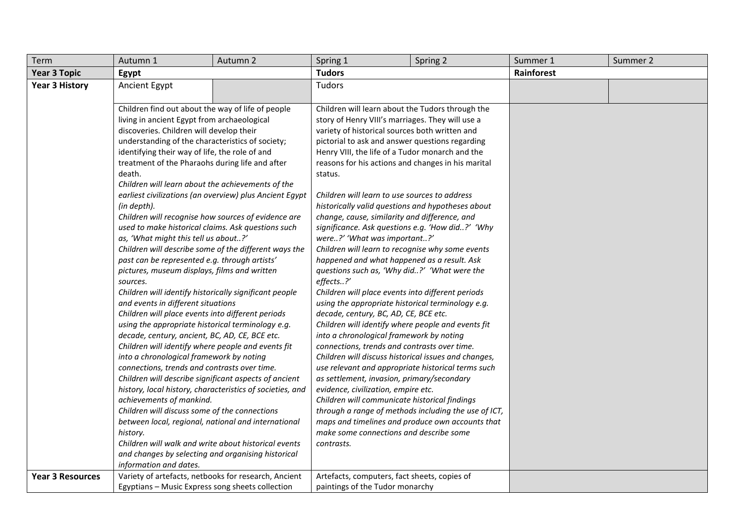| Term                                                                      | Autumn 1                                                                                                                                                                                                   | Autumn 2                                                | Spring 1                                                                                    | Spring 2                                             | Summer 1   | Summer 2 |  |
|---------------------------------------------------------------------------|------------------------------------------------------------------------------------------------------------------------------------------------------------------------------------------------------------|---------------------------------------------------------|---------------------------------------------------------------------------------------------|------------------------------------------------------|------------|----------|--|
| <b>Year 3 Topic</b>                                                       | Egypt                                                                                                                                                                                                      |                                                         | <b>Tudors</b>                                                                               |                                                      | Rainforest |          |  |
| <b>Year 3 History</b>                                                     | Ancient Egypt                                                                                                                                                                                              |                                                         | <b>Tudors</b>                                                                               |                                                      |            |          |  |
|                                                                           |                                                                                                                                                                                                            |                                                         |                                                                                             |                                                      |            |          |  |
|                                                                           | Children find out about the way of life of people                                                                                                                                                          |                                                         | Children will learn about the Tudors through the                                            |                                                      |            |          |  |
|                                                                           | living in ancient Egypt from archaeological                                                                                                                                                                |                                                         | story of Henry VIII's marriages. They will use a                                            |                                                      |            |          |  |
|                                                                           | discoveries. Children will develop their                                                                                                                                                                   |                                                         | variety of historical sources both written and                                              |                                                      |            |          |  |
|                                                                           | understanding of the characteristics of society;                                                                                                                                                           |                                                         | pictorial to ask and answer questions regarding                                             |                                                      |            |          |  |
|                                                                           | identifying their way of life, the role of and                                                                                                                                                             |                                                         | Henry VIII, the life of a Tudor monarch and the                                             |                                                      |            |          |  |
|                                                                           | treatment of the Pharaohs during life and after                                                                                                                                                            |                                                         | reasons for his actions and changes in his marital                                          |                                                      |            |          |  |
|                                                                           | death.                                                                                                                                                                                                     |                                                         | status.                                                                                     |                                                      |            |          |  |
|                                                                           | Children will learn about the achievements of the                                                                                                                                                          |                                                         |                                                                                             |                                                      |            |          |  |
|                                                                           |                                                                                                                                                                                                            | earliest civilizations (an overview) plus Ancient Egypt | Children will learn to use sources to address                                               |                                                      |            |          |  |
|                                                                           | (in depth).                                                                                                                                                                                                |                                                         | historically valid questions and hypotheses about                                           |                                                      |            |          |  |
|                                                                           | Children will recognise how sources of evidence are                                                                                                                                                        |                                                         | change, cause, similarity and difference, and                                               |                                                      |            |          |  |
|                                                                           | used to make historical claims. Ask questions such                                                                                                                                                         |                                                         | significance. Ask questions e.g. 'How did?' 'Why                                            |                                                      |            |          |  |
|                                                                           | as, 'What might this tell us about?'<br>Children will describe some of the different ways the<br>past can be represented e.g. through artists'<br>pictures, museum displays, films and written<br>sources. |                                                         | were?' 'What was important?'                                                                |                                                      |            |          |  |
|                                                                           |                                                                                                                                                                                                            |                                                         | Children will learn to recognise why some events                                            |                                                      |            |          |  |
|                                                                           |                                                                                                                                                                                                            |                                                         | happened and what happened as a result. Ask<br>questions such as, 'Why did?' 'What were the |                                                      |            |          |  |
|                                                                           |                                                                                                                                                                                                            |                                                         | effects?'                                                                                   |                                                      |            |          |  |
|                                                                           | Children will identify historically significant people                                                                                                                                                     |                                                         | Children will place events into different periods                                           |                                                      |            |          |  |
|                                                                           | and events in different situations                                                                                                                                                                         |                                                         | using the appropriate historical terminology e.g.                                           |                                                      |            |          |  |
|                                                                           | Children will place events into different periods                                                                                                                                                          |                                                         | decade, century, BC, AD, CE, BCE etc.                                                       |                                                      |            |          |  |
|                                                                           | using the appropriate historical terminology e.g.                                                                                                                                                          |                                                         | Children will identify where people and events fit                                          |                                                      |            |          |  |
|                                                                           | decade, century, ancient, BC, AD, CE, BCE etc.                                                                                                                                                             |                                                         | into a chronological framework by noting                                                    |                                                      |            |          |  |
|                                                                           | Children will identify where people and events fit                                                                                                                                                         |                                                         |                                                                                             | connections, trends and contrasts over time.         |            |          |  |
| into a chronological framework by noting                                  |                                                                                                                                                                                                            | Children will discuss historical issues and changes,    |                                                                                             |                                                      |            |          |  |
|                                                                           | connections, trends and contrasts over time.<br>Children will describe significant aspects of ancient<br>history, local history, characteristics of societies, and                                         |                                                         | use relevant and appropriate historical terms such                                          |                                                      |            |          |  |
|                                                                           |                                                                                                                                                                                                            |                                                         | as settlement, invasion, primary/secondary                                                  |                                                      |            |          |  |
|                                                                           |                                                                                                                                                                                                            |                                                         | evidence, civilization, empire etc.                                                         |                                                      |            |          |  |
| achievements of mankind.<br>Children will discuss some of the connections |                                                                                                                                                                                                            |                                                         | Children will communicate historical findings                                               |                                                      |            |          |  |
|                                                                           |                                                                                                                                                                                                            |                                                         |                                                                                             | through a range of methods including the use of ICT, |            |          |  |
|                                                                           | between local, regional, national and international<br>history.<br>Children will walk and write about historical events<br>and changes by selecting and organising historical<br>information and dates.    |                                                         | maps and timelines and produce own accounts that                                            |                                                      |            |          |  |
|                                                                           |                                                                                                                                                                                                            |                                                         | make some connections and describe some                                                     |                                                      |            |          |  |
|                                                                           |                                                                                                                                                                                                            |                                                         | contrasts.                                                                                  |                                                      |            |          |  |
|                                                                           |                                                                                                                                                                                                            |                                                         |                                                                                             |                                                      |            |          |  |
|                                                                           |                                                                                                                                                                                                            |                                                         |                                                                                             |                                                      |            |          |  |
| <b>Year 3 Resources</b>                                                   | Variety of artefacts, netbooks for research, Ancient<br>Egyptians - Music Express song sheets collection                                                                                                   |                                                         | Artefacts, computers, fact sheets, copies of                                                |                                                      |            |          |  |
|                                                                           |                                                                                                                                                                                                            |                                                         | paintings of the Tudor monarchy                                                             |                                                      |            |          |  |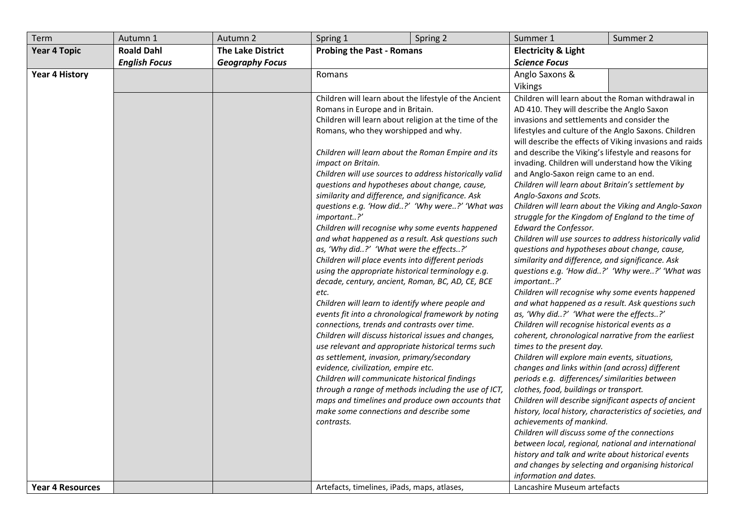| Term                    | Autumn 1             | Autumn 2                 | Spring 1<br>Spring 2                                                                              | Summer 1                                                                     | Summer 2                                                  |
|-------------------------|----------------------|--------------------------|---------------------------------------------------------------------------------------------------|------------------------------------------------------------------------------|-----------------------------------------------------------|
| <b>Year 4 Topic</b>     | <b>Roald Dahl</b>    | <b>The Lake District</b> | <b>Probing the Past - Romans</b>                                                                  | <b>Electricity &amp; Light</b>                                               |                                                           |
|                         | <b>English Focus</b> | <b>Geography Focus</b>   |                                                                                                   | <b>Science Focus</b>                                                         |                                                           |
| <b>Year 4 History</b>   |                      |                          | <b>Romans</b>                                                                                     | Anglo Saxons &                                                               |                                                           |
|                         |                      |                          |                                                                                                   | <b>Vikings</b>                                                               |                                                           |
|                         |                      |                          | Children will learn about the lifestyle of the Ancient                                            | Children will learn about the Roman withdrawal in                            |                                                           |
|                         |                      |                          | Romans in Europe and in Britain.                                                                  | AD 410. They will describe the Anglo Saxon                                   |                                                           |
|                         |                      |                          | Children will learn about religion at the time of the                                             | invasions and settlements and consider the                                   |                                                           |
|                         |                      |                          | Romans, who they worshipped and why.                                                              | lifestyles and culture of the Anglo Saxons. Children                         |                                                           |
|                         |                      |                          |                                                                                                   |                                                                              | will describe the effects of Viking invasions and raids   |
|                         |                      |                          | Children will learn about the Roman Empire and its                                                | and describe the Viking's lifestyle and reasons for                          |                                                           |
|                         |                      |                          | impact on Britain.                                                                                | invading. Children will understand how the Viking                            |                                                           |
|                         |                      |                          | Children will use sources to address historically valid                                           | and Anglo-Saxon reign came to an end.                                        |                                                           |
|                         |                      |                          | questions and hypotheses about change, cause,<br>similarity and difference, and significance. Ask | Children will learn about Britain's settlement by<br>Anglo-Saxons and Scots. |                                                           |
|                         |                      |                          | questions e.g. 'How did?' 'Why were?' 'What was                                                   |                                                                              | Children will learn about the Viking and Anglo-Saxon      |
|                         |                      |                          | important?'                                                                                       | struggle for the Kingdom of England to the time of                           |                                                           |
|                         |                      |                          | Children will recognise why some events happened                                                  | Edward the Confessor.                                                        |                                                           |
|                         |                      |                          | and what happened as a result. Ask questions such                                                 | Children will use sources to address historically valid                      |                                                           |
|                         |                      |                          | as, 'Why did?' 'What were the effects?'                                                           | questions and hypotheses about change, cause,                                |                                                           |
|                         |                      |                          | Children will place events into different periods                                                 | similarity and difference, and significance. Ask                             |                                                           |
|                         |                      |                          | using the appropriate historical terminology e.g.                                                 |                                                                              | questions e.g. 'How did?' 'Why were?' 'What was           |
|                         |                      |                          | decade, century, ancient, Roman, BC, AD, CE, BCE                                                  | important?'                                                                  |                                                           |
|                         |                      |                          | etc.                                                                                              | Children will recognise why some events happened                             |                                                           |
|                         |                      |                          | Children will learn to identify where people and                                                  | and what happened as a result. Ask questions such                            |                                                           |
|                         |                      |                          | events fit into a chronological framework by noting                                               | as, 'Why did?' 'What were the effects?'                                      |                                                           |
|                         |                      |                          | connections, trends and contrasts over time.                                                      | Children will recognise historical events as a                               |                                                           |
|                         |                      |                          | Children will discuss historical issues and changes,                                              | coherent, chronological narrative from the earliest                          |                                                           |
|                         |                      |                          | use relevant and appropriate historical terms such<br>as settlement, invasion, primary/secondary  | times to the present day.<br>Children will explore main events, situations,  |                                                           |
|                         |                      |                          | evidence, civilization, empire etc.                                                               | changes and links within (and across) different                              |                                                           |
|                         |                      |                          | Children will communicate historical findings                                                     | periods e.g. differences/ similarities between                               |                                                           |
|                         |                      |                          | through a range of methods including the use of ICT,                                              | clothes, food, buildings or transport.                                       |                                                           |
|                         |                      |                          | maps and timelines and produce own accounts that                                                  | Children will describe significant aspects of ancient                        |                                                           |
|                         |                      |                          | make some connections and describe some                                                           |                                                                              | history, local history, characteristics of societies, and |
|                         |                      |                          | contrasts.                                                                                        | achievements of mankind.                                                     |                                                           |
|                         |                      |                          |                                                                                                   | Children will discuss some of the connections                                |                                                           |
|                         |                      |                          |                                                                                                   | between local, regional, national and international                          |                                                           |
|                         |                      |                          |                                                                                                   | history and talk and write about historical events                           |                                                           |
|                         |                      |                          |                                                                                                   | and changes by selecting and organising historical                           |                                                           |
|                         |                      |                          |                                                                                                   | information and dates.                                                       |                                                           |
| <b>Year 4 Resources</b> |                      |                          | Artefacts, timelines, iPads, maps, atlases,                                                       | Lancashire Museum artefacts                                                  |                                                           |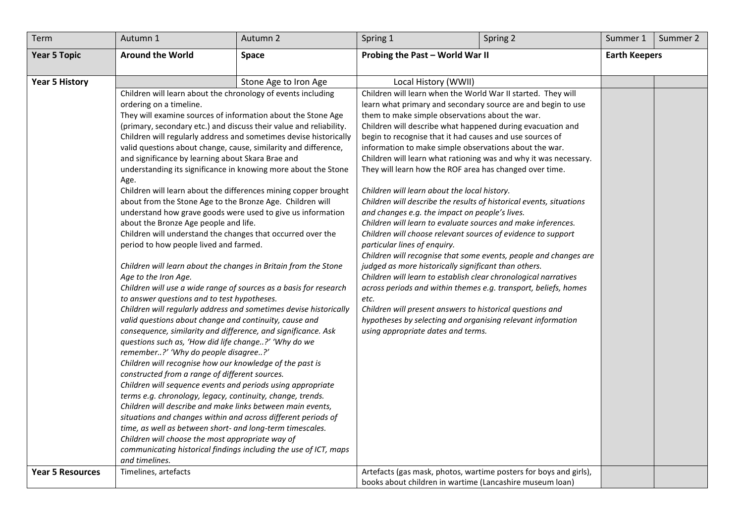| Term                    | Autumn 1                                                                                                                   | Autumn 2              | Spring 1                                                                                                                 | Spring 2 | Summer 1             | Summer 2 |
|-------------------------|----------------------------------------------------------------------------------------------------------------------------|-----------------------|--------------------------------------------------------------------------------------------------------------------------|----------|----------------------|----------|
| <b>Year 5 Topic</b>     | <b>Around the World</b>                                                                                                    | <b>Space</b>          | Probing the Past - World War II                                                                                          |          | <b>Earth Keepers</b> |          |
|                         |                                                                                                                            |                       |                                                                                                                          |          |                      |          |
| <b>Year 5 History</b>   |                                                                                                                            | Stone Age to Iron Age | Local History (WWII)                                                                                                     |          |                      |          |
|                         | Children will learn about the chronology of events including                                                               |                       | Children will learn when the World War II started. They will                                                             |          |                      |          |
|                         | ordering on a timeline.                                                                                                    |                       | learn what primary and secondary source are and begin to use                                                             |          |                      |          |
|                         | They will examine sources of information about the Stone Age                                                               |                       | them to make simple observations about the war.                                                                          |          |                      |          |
|                         | (primary, secondary etc.) and discuss their value and reliability.                                                         |                       | Children will describe what happened during evacuation and                                                               |          |                      |          |
|                         | Children will regularly address and sometimes devise historically                                                          |                       | begin to recognise that it had causes and use sources of                                                                 |          |                      |          |
|                         | valid questions about change, cause, similarity and difference,                                                            |                       | information to make simple observations about the war.                                                                   |          |                      |          |
|                         | and significance by learning about Skara Brae and                                                                          |                       | Children will learn what rationing was and why it was necessary.                                                         |          |                      |          |
|                         | understanding its significance in knowing more about the Stone<br>Age.                                                     |                       | They will learn how the ROF area has changed over time.                                                                  |          |                      |          |
|                         | Children will learn about the differences mining copper brought                                                            |                       | Children will learn about the local history.                                                                             |          |                      |          |
|                         | about from the Stone Age to the Bronze Age. Children will                                                                  |                       | Children will describe the results of historical events, situations                                                      |          |                      |          |
|                         | understand how grave goods were used to give us information                                                                |                       | and changes e.g. the impact on people's lives.                                                                           |          |                      |          |
|                         | about the Bronze Age people and life.                                                                                      |                       | Children will learn to evaluate sources and make inferences.                                                             |          |                      |          |
|                         | Children will understand the changes that occurred over the                                                                |                       | Children will choose relevant sources of evidence to support                                                             |          |                      |          |
|                         | period to how people lived and farmed.                                                                                     |                       | particular lines of enquiry.                                                                                             |          |                      |          |
|                         |                                                                                                                            |                       | Children will recognise that some events, people and changes are<br>judged as more historically significant than others. |          |                      |          |
|                         | Children will learn about the changes in Britain from the Stone<br>Age to the Iron Age.                                    |                       | Children will learn to establish clear chronological narratives                                                          |          |                      |          |
|                         | Children will use a wide range of sources as a basis for research                                                          |                       | across periods and within themes e.g. transport, beliefs, homes                                                          |          |                      |          |
|                         | to answer questions and to test hypotheses.                                                                                |                       | etc.                                                                                                                     |          |                      |          |
|                         | Children will regularly address and sometimes devise historically                                                          |                       | Children will present answers to historical questions and                                                                |          |                      |          |
|                         | valid questions about change and continuity, cause and                                                                     |                       | hypotheses by selecting and organising relevant information                                                              |          |                      |          |
|                         | consequence, similarity and difference, and significance. Ask                                                              |                       | using appropriate dates and terms.                                                                                       |          |                      |          |
|                         | questions such as, 'How did life change?' 'Why do we                                                                       |                       |                                                                                                                          |          |                      |          |
|                         | remember?' 'Why do people disagree?'                                                                                       |                       |                                                                                                                          |          |                      |          |
|                         | Children will recognise how our knowledge of the past is                                                                   |                       |                                                                                                                          |          |                      |          |
|                         | constructed from a range of different sources.                                                                             |                       |                                                                                                                          |          |                      |          |
|                         | Children will sequence events and periods using appropriate                                                                |                       |                                                                                                                          |          |                      |          |
|                         | terms e.g. chronology, legacy, continuity, change, trends.                                                                 |                       |                                                                                                                          |          |                      |          |
|                         | Children will describe and make links between main events,                                                                 |                       |                                                                                                                          |          |                      |          |
|                         | situations and changes within and across different periods of<br>time, as well as between short- and long-term timescales. |                       |                                                                                                                          |          |                      |          |
|                         | Children will choose the most appropriate way of                                                                           |                       |                                                                                                                          |          |                      |          |
|                         | communicating historical findings including the use of ICT, maps                                                           |                       |                                                                                                                          |          |                      |          |
|                         | and timelines.                                                                                                             |                       |                                                                                                                          |          |                      |          |
| <b>Year 5 Resources</b> | Timelines, artefacts                                                                                                       |                       | Artefacts (gas mask, photos, wartime posters for boys and girls),                                                        |          |                      |          |
|                         |                                                                                                                            |                       | books about children in wartime (Lancashire museum loan)                                                                 |          |                      |          |